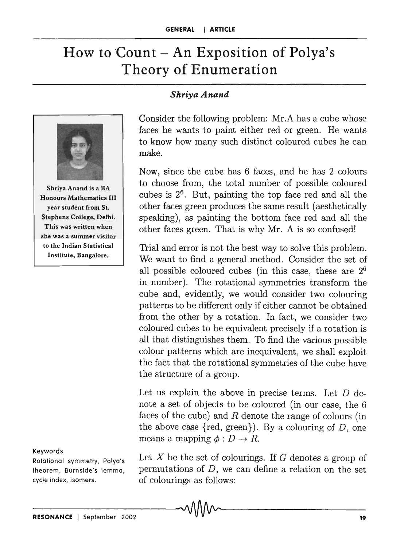# How to Count  $-$  An Exposition of Polya's Theory of Enumeration



Shriya Anand is a BA Honours Mathematics III year student from St. Stephens College, Delhi. This was written when she was a summer visitor to the Indian Statistical Institute, Bangalore.

Keywords

Rotational symmetry, Polya's theorem, Burnside's lemma, cycle index, isomers.

#### *Shriya Anand*

Consider the following problem: Mr.A has a cube whose faces he wants to paint either red or green. He wants to know how many such distinct coloured cubes he can make.

Now, since the cube has 6 faces, and he has 2 colours to choose from, the total number of possible coloured cubes is  $2<sup>6</sup>$ . But, painting the top face red and all the other faces green produces the same result (aesthetically speaking), as painting the bottom face red and all the other faces green. That is why Mr. A is so confused!

Trial and error is not the best way to solve this problem. We want to find a general method. Consider the set of all possible coloured cubes (in this case, these are 2<sup>6</sup> in number). The rotational symmetries transform the cube and, evidently, we would consider two colouring patterns to be different only if either cannot be obtained from the other by a rotation. In fact, we consider two coloured cubes to be equivalent precisely if a rotation is all that distinguishes them. To find the various possible colour patterns which are inequivalent, we shall exploit the fact that the rotational symmetries of the cube have the structure of a group.

Let us explain the above in precise terms. Let  $D$  denote a set of objects to be coloured (in our case, the 6 faces of the cube) and  $R$  denote the range of colours (in the above case {red, green}). By a colouring of *D,* one means a mapping  $\phi: D \to R$ .

Let X be the set of colourings. If *G* denotes a group of permutations of D, we can define a relation on the set of colourings as follows: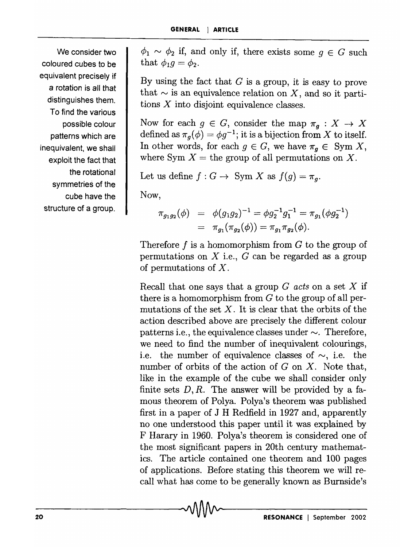We consider two coloured cubes to be equivalent precisely if a rotation is all that distinguishes them. To find the various possible colour patterns which are inequivalent, we shall exploit the fact that the rotational symmetries of the cube have the structure of a group.

 $\phi_1 \sim \phi_2$  if, and only if, there exists some  $g \in G$  such that  $\phi_1 q = \phi_2$ .

By using the fact that  $G$  is a group, it is easy to prove that  $\sim$  is an equivalence relation on X, and so it partitions  $X$  into disjoint equivalence classes.

Now for each  $g \in G$ , consider the map  $\pi_g : X \to X$ defined as  $\pi_g(\phi) = \phi g^{-1}$ ; it is a bijection from X to itself. In other words, for each  $g \in G$ , we have  $\pi_q \in \text{Sym } X$ , where Sym  $X =$  the group of all permutations on X.

Let us define  $f: G \to \text{Sym } X$  as  $f(g) = \pi_g$ .

Now,

$$
\pi_{g_1g_2}(\phi) = \phi(g_1g_2)^{-1} = \phi g_2^{-1} g_1^{-1} = \pi_{g_1}(\phi g_2^{-1})
$$
  
=  $\pi_{g_1}(\pi_{g_2}(\phi)) = \pi_{g_1} \pi_{g_2}(\phi)$ .

Therefore f is a homomorphism from *G* to the group of permutations on  $X$  i.e.,  $G$  can be regarded as a group of permutations of X.

Recall that one says that a group *G acts* on a set X if there is a homomorphism from *G* to the group of all permutations of the set  $X$ . It is clear that the orbits of the action described above are precisely the different colour patterns i.e., the equivalence classes under  $\sim$ . Therefore, we need to find the number of inequivalent colourings, i.e. the number of equivalence classes of  $\sim$ , i.e. the number of orbits of the action of *G* on X. Note that, like in the example of the cube we shall consider only finite sets  $D, R$ . The answer will be provided by a famous theorem of Polya. Polya's theorem was published first in a paper of J H Redfield in 1927 and, apparently no one understood this paper until it was explained by F Harary in 1960. Polya's theorem is considered. one of the most significant papers in 20th century mathematics. The article contained one theorem and 100 pages of applications. Before stating this theorem we will recall what has come to be generally known as Burnside's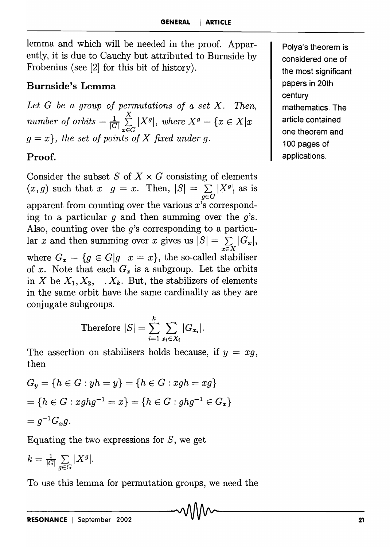lemma and which will be needed in the proof. Apparently, it is due to Cauchy but attributed to Burnside by Frobenius (see [2] for this bit of history).

### Burnside's Lemma

*Let* G *be a group of permutations of a set* X. *Then,*   $\overline{x}$ *number of orbits*  $= \frac{1}{|G|} \sum_{x \in G} |X^g|$ , *where*  $X^g = \{x \in X | x$  $g = x$ , the set of points of X fixed under g.

## Proof.

Consider the subset S of  $X \times G$  consisting of elements  $(x, g)$  such that  $x \, g = x$ . Then,  $|S| = \sum_{g \in G} |X^g|$  as is apparent from counting over the various *x's* corresponding to a particular  $q$  and then summing over the  $q$ 's. Also, counting over the *g's* corresponding to a particular *x* and then summing over *x* gives us  $|S| = \sum_{x \in X} |G_x|$ , where  $G_x = \{g \in G | g \ x = x\}$ , the so-called stabiliser of x. Note that each  $G_x$  is a subgroup. Let the orbits in *X* be  $X_1, X_2, \ldots, X_k$ . But, the stabilizers of elements in the same orbit have the same cardinality as they are conjugate subgroups.

Therefore 
$$
|S| = \sum_{i=1}^{k} \sum_{x_i \in X_i} |G_{x_i}|
$$
.

The assertion on stabilisers holds because, if  $y = xg$ , then

$$
G_y = \{h \in G : yh = y\} = \{h \in G : xgh = xg\}
$$
  
=  $\{h \in G : xghg^{-1} = x\} = \{h \in G : ghg^{-1} \in G_x\}$   
=  $g^{-1}G_xg$ .

Equating the two expressions for  $S$ , we get

$$
k = \tfrac{1}{|G|}\sum_{g \in G} |X^g|.
$$

To use this lemma for permutation groups, we need the

Polya's theorem is considered one of the most significant papers in 20th century mathematics. The article contained one theorem and 100 pages of applications.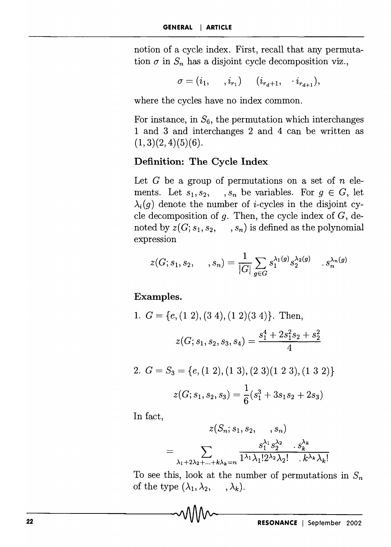notion of a cycle index. First, recall that any permutation  $\sigma$  in  $S_n$  has a disjoint cycle decomposition viz.,

$$
\sigma = (i_1, \dots, i_{r_1}) \dots (i_{r_d+1}, \dots, i_{r_{d+1}}),
$$

where the cycles have no index common.

For instance, in  $S_6$ , the permutation which interchanges 1 and 3 and interchanges 2 and 4 can be written as  $(1,3)(2,4)(5)(6)$ .

#### **Definition: The Cycle Index**

Let G be a group of permutations on a set of *n* elements. Let  $s_1, s_2, \dots, s_n$  be variables. For  $g \in G$ , let  $\lambda_i(g)$  denote the number of *i*-cycles in the disjoint cycle decomposition of  $g$ . Then, the cycle index of  $G$ , denoted by  $z(G; s_1, s_2, \ldots, s_n)$  is defined as the polynomial expression

$$
z(G;s_1,s_2,\quad \ ,s_n)=\frac{1}{|G|}\sum_{g\in G}s_1^{\lambda_1(g)}s_2^{\lambda_2(g)}\quad \ ,s_n^{\lambda_n(g)}
$$

**Examples.** 

1. 
$$
G = \{e, (1\ 2), (3\ 4), (1\ 2)(3\ 4)\}
$$
. Then,  

$$
z(G; s_1, s_2, s_3, s_4) = \frac{s_1^4 + 2s_1^2s_2 + s_2^2}{4}
$$

2. 
$$
G = S_3 = \{e, (1\ 2), (1\ 3), (2\ 3)(1\ 2\ 3), (1\ 3\ 2)\}
$$
  

$$
z(G; s_1, s_2, s_3) = \frac{1}{6}(s_1^3 + 3s_1s_2 + 2s_3)
$$

**In** fact,

$$
z(S_n; s_1, s_2, \ldots, s_n)
$$
  
= 
$$
\sum_{\lambda_1+2\lambda_2+\ldots+\hat{s}\lambda_k=n} \frac{s_1^{\lambda_1} s_2^{\lambda_2} \ldots s_k^{\lambda_k}}{1^{\lambda_1} \lambda_1! 2^{\lambda_2} \lambda_2! \ldots k^{\lambda_k} \lambda_k!}
$$

To see this, look at the number of permutations in  $S_n$ of the type  $(\lambda_1, \lambda_2, \dots, \lambda_k)$ .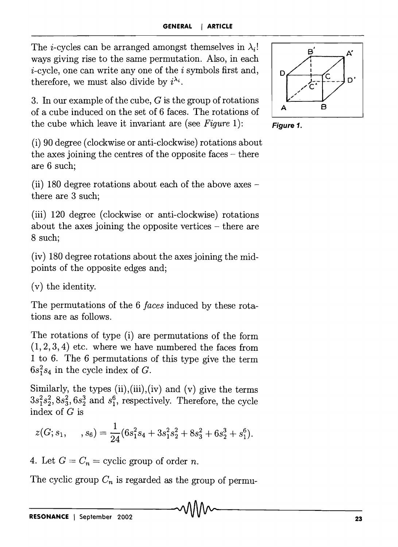The *i*-cycles can be arranged amongst themselves in  $\lambda_i!$ ways giving rise to the same permutation. Also, in each  $i$ -cycle, one can write any one of the  $i$  symbols first and, therefore, we must also divide by  $i^{\lambda_i}$ .

3. In our example of the cube, G is the group of rotations of a cube induced on the set of 6 faces. The rotations of the cube which leave it invariant are (see *Figure* 1):

(i) 90 degree (clockwise or anti-clockwise) rotations about the axes joining the centres of the opposite faces  $-$  there are 6 such;

(ii) 180 degree rotations about each of the above axes there are 3 such;

(iii) 120 degree (clockwise or anti-clockwise) rotations about the axes joining the opposite vertices - there are 8 such;

(iv) 180 degree rotations about the axes joining the midpoints of the opposite edges and;

(v) the identity.

The permutations of the 6 *faces* induced by these rotations are as follows.

The rotations of type (i) are permutations of the form  $(1,2,3,4)$  etc. where we have numbered the faces from 1 to 6. The 6 permutations of this type give the term  $6s_1^2s_4$  in the cycle index of G.

Similarly, the types  $(ii), (iii), (iv)$  and  $(v)$  give the terms  $3s_1^2s_2^2$ ,  $8s_3^2$ ,  $6s_2^3$  and  $s_1^6$ , respectively. Therefore, the cycle index of *G* is

$$
z(G; s_1, \quad ,s_6) = \frac{1}{24}(6s_1^2s_4 + 3s_1^2s_2^2 + 8s_3^2 + 6s_2^3 + s_1^6).
$$

4. Let  $G = C_n$  = cyclic group of order *n*.

The cyclic group  $C_n$  is regarded as the group of permu-



**Figure 1.**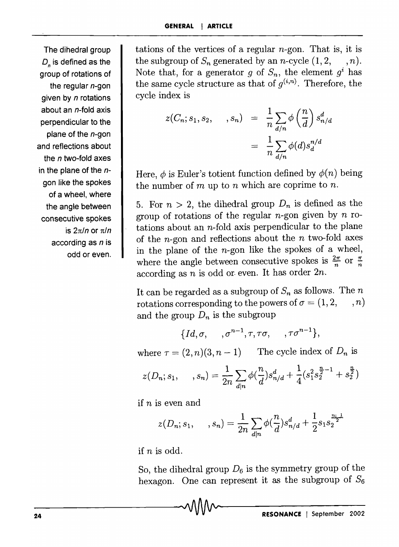The dihedral group D<sub>n</sub> is defined as the group of rotations of the regular  $n$ -gon given by *n* rotations about an n-fold axis perpendicular to the plane of the  $n$ -gon and reflections about the *n* two-fold axes in the plane of the  $n$ gon like the spokes of a wheel, where the angle between consecutive spokes is  $2\pi/n$  or  $\pi/n$ according as  $n$  is odd or even. tations of the vertices of a regular n-gon. That is, it is the subgroup of  $S_n$  generated by an *n*-cycle  $(1, 2, \dots, n)$ . Note that, for a generator g of  $S_n$ , the element  $g^i$  has the same cycle structure as that of  $g^{(i,n)}$ . Therefore, the cycle index is

$$
z(C_n; s_1, s_2, \dots, s_n) = \frac{1}{n} \sum_{d/n} \phi\left(\frac{n}{d}\right) s_{n/d}^d
$$

$$
= \frac{1}{n} \sum_{d/n} \phi(d) s_d^{n/d}
$$

Here,  $\phi$  is Euler's totient function defined by  $\phi(n)$  being the number of m up to *n* which are coprime to *n.* 

5. For  $n > 2$ , the dihedral group  $D_n$  is defined as the group of rotations of the regular  $n$ -gon given by  $n$  rotations about an  $n$ -fold axis perpendicular to the plane of the n-gon and reflections about the *n* two-fold axes in the plane of the  $n$ -gon like the spokes of a wheel, where the angle between consecutive spokes is  $\frac{2\pi}{n}$  or  $\frac{\pi}{n}$ according as *n* is odd or· even. It has order *2n.* 

It can be regarded as a subgroup of  $S_n$  as follows. The  $n$ rotations corresponding to the powers of  $\sigma = (1, 2, \ldots, n)$ and the group  $D_n$  is the subgroup

$$
\{Id, \sigma, \ldots, \sigma^{n-1}, \tau, \tau\sigma, \ldots, \tau\sigma^{n-1}\},\
$$

where  $\tau = (2, n)(3, n - 1)$  The cycle index of  $D_n$  is

$$
z(D_n; s_1, \dots, s_n) = \frac{1}{2n} \sum_{d|n} \phi(\frac{n}{d}) s_{n/d}^d + \frac{1}{4} (s_1^2 s_2^{\frac{n}{2}-1} + s_2^{\frac{n}{2}})
$$

if *n* is even and

$$
z(D_n; s_1, \dots, s_n) = \frac{1}{2n} \sum_{d|n} \phi(\frac{n}{d}) s_{n/d}^d + \frac{1}{2} s_1 s_2^{\frac{n+1}{2}}
$$

if *n* is odd.

Ĵ

So, the dihedral group  $D_6$  is the symmetry group of the hexagon. One can represent it as the subgroup of  $S_6$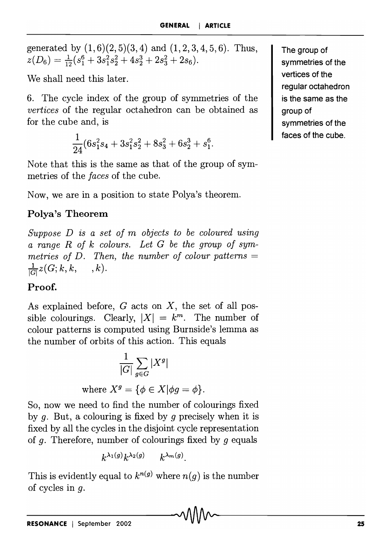generated by  $(1,6)(2,5)(3,4)$  and  $(1,2,3,4,5,6)$ . Thus,  $z(D_6) = \frac{1}{12} (s_1^6 + 3s_1^2s_2^2 + 4s_2^3 + 2s_3^2 + 2s_6).$ 

We shall need this later.

6. The cycle index of the group of symmetries of the *vertices* of the regular octahedron can be obtained as for the cube and, is

$$
\frac{1}{24}(6s_1^2s_4+3s_1^2s_2^2+8s_3^2+6s_2^3+s_1^6.
$$

Note that this is the same as that of the group of symmetries of the *faces* of the cube.

Now, we are in a position to state Polya's theorem.

# **Polya's Theorem**

*Suppose D is a set of* m *objects to be coloured using a range R of k colours. Let G be the group of sym*metries of  $D$ . Then, the number of colour patterns  $=$  $\frac{1}{|G|}z(G; k, k, \quad k).$ 

## **Proof.**

As explained before,  $G$  acts on  $X$ , the set of all possible colourings. Clearly,  $|X| = k^m$ . The number of colour patterns is computed using Burnside's lemma as the number of orbits of this action. This equals

$$
\frac{1}{|G|} \sum_{g \in G} |X^g|
$$

where  $X^g = \{ \phi \in X | \phi g = \phi \}.$ 

So, now we need to find the number of colourings fixed by q. But, a colouring is fixed by q precisely when it is fixed by all the cycles in the disjoint cycle representation of g. Therefore, number of colourings fixed by *9* equals

$$
k^{\lambda_1(g)}k^{\lambda_2(g)} \qquad k^{\lambda_m(g)}.
$$

This is evidently equal to  $k^{n(g)}$  where  $n(g)$  is the number of cycles in g.

**The group of symmetries of the vertices of the regular octahedron is the same as the group of symmetries of the faces of the cube.**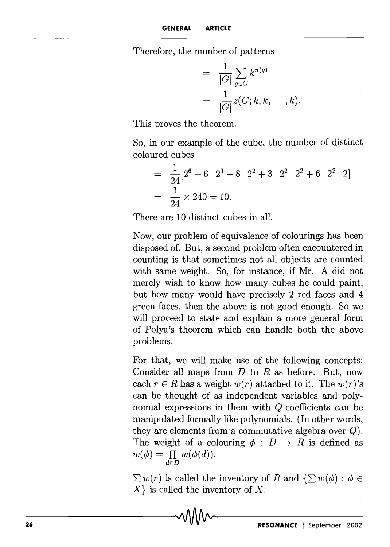Therefore, the number of patterns

$$
= \frac{1}{|G|} \sum_{g \in G} k^{n(g)}
$$
  
= 
$$
\frac{1}{|G|} z(G; k, k, \dots, k).
$$

This proves the theorem.

So, in our example of the cube, the number of distinct coloured cubes

$$
= \frac{1}{24} [2^{6} + 6 \t2^{3} + 8 \t2^{2} + 3 \t2^{2} \t2^{2} + 6 \t2^{2} \t2]
$$
  
=  $\frac{1}{24} \times 240 = 10.$ 

There are 10 distinct cubes in all.

Now, our problem of equivalence of colourings has been disposed of. But, a second problem often encountered in counting is that sometimes not all objects are counted with same weight. So, for instance, if Mr. A did not merely wish to know how many cubes he could paint, but how many would have precisely 2 red faces and 4 green faces, then the above is not good enough. So we will proceed to state and explain a more general form of Polya's theorem which can handle both the above problems.

For that, we will make use of the following concepts: Consider all maps from  $D$  to  $R$  as before. But, now each  $r \in R$  has a weight  $w(r)$  attached to it. The  $w(r)$ 's can be thought of as independent variables and polynomial expressions in them with Q-coefficients can be manipulated formally like polynomials. (In other words, they are elements from a commutative algebra over Q). The weight of a colouring  $\phi : D \to R$  is defined as  $w(\phi) = \prod_{d \in D} w(\phi(d)).$ 

 $\sum w(r)$  is called the inventory of *R* and  $\{\sum w(\phi) : \phi \in$  $X$ } is called the inventory of X.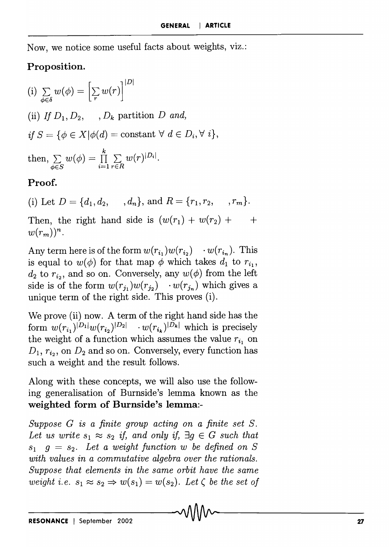Now, we notice some useful facts about weights, viz.:

## **Proposition.**

]  $|\mathcal{D}|$  $\left(\mathrm{i}\right)\,\sum\limits_{\phi\in\delta}w(\phi)=\left[\sum\limits_{r}w(r)\right]$ (ii) *If*  $D_1, D_2, \ldots, D_k$  partition *D and,*  $if S = \{ \phi \in X | \phi(d) = \text{constant} \; \forall \; d \in D_i, \forall \; i \},$ then,  $\sum w(\phi) = \prod_{i=1}^k \sum w(r)^{|D_i|}$ .  $\phi \in S$   $\qquad \qquad i=1 \text{ } r \in R$ 

## **Proof.**

(i) Let  $D = \{d_1, d_2, ..., d_n\}$ , and  $R = \{r_1, r_2, ..., r_m\}$ .

Then, the right hand side is  $(w(r_1) + w(r_2) + \cdots)$  $w(r_m))^n$ .

Any term here is of the form  $w(r_{i_1})w(r_{i_2}) \cdots w(r_{i_n})$ . This is equal to  $w(\phi)$  for that map  $\phi$  which takes  $d_1$  to  $r_{i_1}$ ,  $d_2$  to  $r_i$ , and so on. Conversely, any  $w(\phi)$  from the left side is of the form  $w(r_{j_1})w(r_{j_2}) \cdots w(r_{j_n})$  which gives a unique term of the right side. This proves (i).

We prove (ii) now. A term of the right hand side has the form  $w(r_{i_1})^{|D_1|}w(r_{i_2})^{|D_2|} \cdots w(r_{i_k})^{|D_k|}$  which is precisely the weight of a function which assumes the value  $r_{i_1}$  on  $D_1$ ,  $r_{i_2}$ , on  $D_2$  and so on. Conversely, every function has such a weight and the result follows.

Along with these concepts, we will also use the following generalisation of Burnside's lemma known as the **weighted form of Burnside's lemma:-**

*Suppose G is a finite group acting on a finite set S.*  Let us write  $s_1 \approx s_2$  if, and only if,  $\exists g \in G$  such that  $s_1$   $q = s_2$ . Let a weight function w be defined on S *with values in a commutative algebra over the rationals. Suppose that elements in the same orbit have the same weight i.e.*  $s_1 \approx s_2 \Rightarrow w(s_1) = w(s_2)$ . Let  $\zeta$  be the set of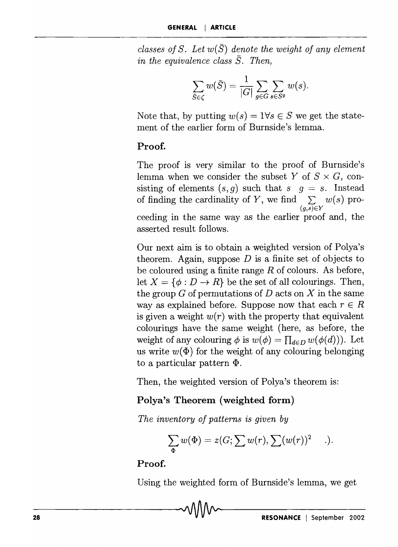*classes of S. Let*  $w(\bar{S})$  *denote the weight of any element in the equivalence class*  $\overline{S}$ *. Then,* 

$$
\sum_{\bar{S}\in\zeta} w(\bar{S}) = \frac{1}{|G|} \sum_{g\in G} \sum_{s\in S^g} w(s).
$$

Note that, by putting  $w(s) = 1 \forall s \in S$  we get the statement of the earlier form of Burnside's lemma.

#### **Proof.**

The proof is very similar to the proof of Burnside's lemma when we consider the subset *Y* of  $S \times G$ , consisting of elements  $(s, g)$  such that  $s \mid g = s$ . Instead of finding the cardinality of Y, we find  $\sum w(s)$  pro- $(a,\overline{s})\in Y$ ceeding in the same way as the earlier proof and, the asserted result follows.

Our next aim is to obtain a weighted version of Polya's theorem. Again, suppose *D* is a finite set of objects to be coloured using a finite range  $R$  of colours. As before, let  $X = \{\phi : D \to R\}$  be the set of all colourings. Then, the group G of permutations of *D* acts on *X* in the same way as explained before. Suppose now that each  $r \in R$ is given a weight  $w(r)$  with the property that equivalent colourings have the same weight (here, as before, the weight of any colouring  $\phi$  is  $w(\phi) = \prod_{d \in D} w(\phi(d))$ . Let us write  $w(\Phi)$  for the weight of any colouring belonging to a particular pattern  $\Phi$ .

Then, the weighted version of Polya's theorem is:

#### **Polya's Theorem (weighted form)**

*The inventory of patterns is given by* 

$$
\sum_{\Phi} w(\Phi) = z(G; \sum w(r), \sum (w(r))^2 \quad .).
$$

#### **Proof.**

Using the weighted form of Burnside's lemma, we get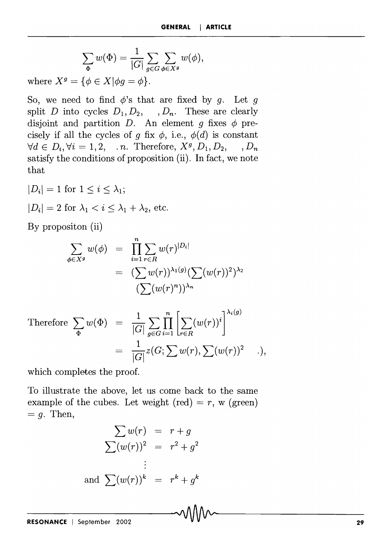$$
\sum_{\Phi} w(\Phi) = \frac{1}{|G|} \sum_{g \in G} \sum_{\phi \in X^g} w(\phi),
$$

where  $X^g = \{ \phi \in X | \phi g = \phi \}.$ 

So, we need to find  $\phi$ 's that are fixed by *g*. Let *g* split *D* into cycles  $D_1, D_2, \dots, D_n$ . These are clearly disjoint and partition *D*. An element q fixes  $\phi$  precisely if all the cycles of *g* fix  $\phi$ , i.e.,  $\phi(d)$  is constant  $\forall d \in D_i, \forall i = 1, 2, \dots n$ . Therefore,  $X^g, D_1, D_2, \dots, D_n$ satisfy the conditions of proposition (ii). **In** fact, we note that

 $|D_i| = 1$  for  $1 \leq i \leq \lambda_1;$  $|D_i| = 2$  for  $\lambda_1 < i \leq \lambda_1 + \lambda_2$ , etc.

By propositon (ii)

$$
\sum_{\phi \in X^g} w(\phi) = \prod_{i=1}^n \sum_{r \in R} w(r)^{|D_i|}
$$

$$
= (\sum w(r))^{\lambda_1(g)} (\sum (w(r))^2)^{\lambda_2}
$$

$$
(\sum (w(r)^n))^{\lambda_n}
$$

Therefore 
$$
\sum_{\Phi} w(\Phi) = \frac{1}{|G|} \sum_{g \in G} \prod_{i=1}^{n} \left[ \sum_{r \in R} (w(r))^{i} \right]^{\lambda_{i}(g)}
$$

$$
= \frac{1}{|G|} z(G; \sum w(r), \sum (w(r))^{2} \dots),
$$

which completes the proof.

To illustrate the above, let us come back to the same example of the cubes. Let weight  $(\text{red}) = r$ , w  $(\text{green})$  $= q$ . Then,

$$
\sum w(r) = r + g
$$
  

$$
\sum (w(r))^2 = r^2 + g^2
$$
  

$$
\vdots
$$
  
and 
$$
\sum (w(r))^k = r^k + g^k
$$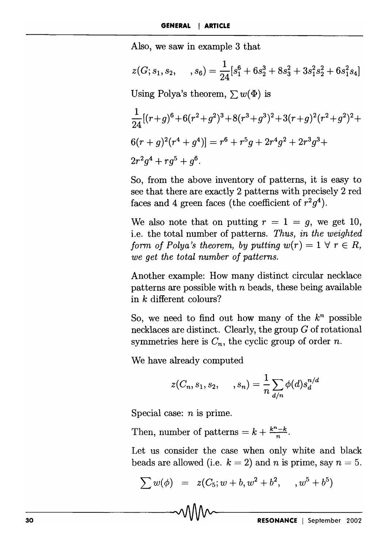Also, we saw in example 3 that

$$
z(G; s_1, s_2, \dots, s_6) = \frac{1}{24} [s_1^6 + 6s_2^3 + 8s_3^2 + 3s_1^2s_2^2 + 6s_1^2s_4]
$$
  
Using Polya's theorem,  $\sum w(\Phi)$  is  

$$
\frac{1}{24} [(r+g)^6 + 6(r^2+g^2)^3 + 8(r^3+g^3)^2 + 3(r+g)^2(r^2+g^2)^2 +
$$

$$
6(r+g)^2(r^4+g^4)] = r^6 + r^5g + 2r^4g^2 + 2r^3g^3 +
$$

$$
2r^2g^4 + rg^5 + g^6.
$$

So, from the above inventory of patterns, it is easy to see that there are exactly 2 patterns with precisely 2 red faces and 4 green faces (the coefficient of  $r^2g^4$ ).

We also note that on putting  $r = 1 = g$ , we get 10, i.e. the total number of patterns. *Thus, in the weighted form of Polya's theorem, by putting*  $w(r) = 1 \forall r \in R$ , *we get the total number of patterns.* 

Another example: How many distinct circular necklace patterns are possible with *n* beads, these being available in *k* different colours?

So, we need to find out how many of the  $k^n$  possible necklaces are distinct. Clearly, the group G of rotational symmetries here is  $C_n$ , the cyclic group of order *n*.

We have already computed

$$
z(C_n,s_1,s_2,\quad \, ,s_n)=\frac{1}{n}\sum_{d/n}\phi(d)s_d^{n/d}
$$

Special case: *n* is prime.

Then, number of patterns  $= k + \frac{k^{n}-k}{n}$ .

Let us consider the case when only white and black beads are allowed (i.e.  $k = 2$ ) and *n* is prime, say  $n = 5$ .

$$
\sum w(\phi) = z(C_5; w + b, w^2 + b^2, \dots, w^5 + b^5)
$$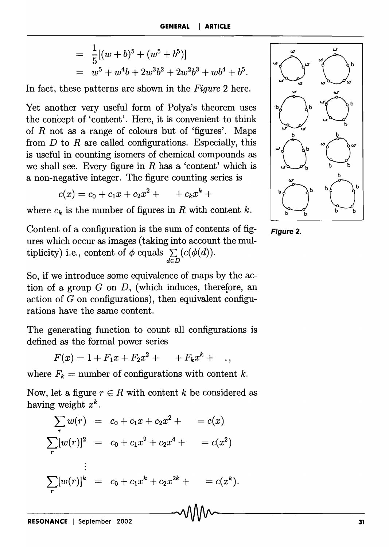$$
= \frac{1}{5}[(w+b)^5 + (w^5 + b^5)]
$$
  
=  $w^5 + w^4b + 2w^3b^2 + 2w^2b^3 + wb^4 + b^5$ .

In fact, these patterns are shown in the *Figure* 2 here.

Yet another very useful form of Polya's theorem uses the concept of 'content'. Here, it is convenient to think of *R* not as a range of colours but of 'figures'. Maps from  $D$  to  $R$  are called configurations. Especially, this is useful in counting isomers of chemical compounds as we shall see. Every figure in  $R$  has a 'content' which is a non-negative integer. The figure counting series is

$$
c(x) = c_0 + c_1 x + c_2 x^2 + \cdots + c_k x^k +
$$

where  $c_k$  is the number of figures in R with content k.

Content of a configuration is the sum of contents of figures which occur as images (taking into account the multiplicity) i.e., content of  $\phi$  equals  $\sum (c(\phi(d)))$ . *dED* 

So, if we introduce some equivalence of maps by the action of a group G on *D,* (which induces, therefore, an action of  $G$  on configurations), then equivalent configurations have the same content.

The generating function to count all configurations is defined as the formal power series

 $F(x) = 1 + F_1x + F_2x^2 + \cdots + F_kx^k +$ 

where  $F_k$  = number of configurations with content k.

Now, let a figure  $r \in R$  with content k be considered as having weight *xk.* 

$$
\sum_{r} w(r) = c_0 + c_1 x + c_2 x^2 + c_1 x + c_2 x^3 + c_2 x^4 + c_2 x^5 + c_2 x^4 + c_2 x^2 + c_2 x^4 + c_2 x^2 + c_2 x^2 + c_2 x^2 + c_2 x^2 + c_2 x^2 + c_2 x^2 + c_2 x^2 + c_2 x^2 + c_2 x^2 + c_2 x^2 + c_2 x^2 + c_2 x^2 + c_2 x^2 + c_2 x^2 + c_2 x^2 + c_2 x^2 + c_2 x^2 + c_2 x^2 + c_2 x^2 + c_2 x^2 + c_2 x^2 + c_2 x^2 + c_2 x^2 + c_2 x^2 + c_2 x^2 + c_2 x^2 + c_2 x^2 + c_2 x^2 + c_2 x^2 + c_2 x^2 + c_2 x^2 + c_2 x^2 + c_2 x^2 + c_2 x^2 + c_2 x^2 + c_2 x^2 + c_2 x^2 + c_2 x^2 + c_2 x^2 + c_2 x^2 + c_2 x^2 + c_2 x^2 + c_2 x^2 + c_2 x^2 + c_2 x^2 + c_2 x^2 + c_2 x^2 + c_2 x^2 + c_2 x^2 + c_2 x^2 + c_2 x^2 + c_2 x^2 + c_2 x^2 + c_2 x^2 + c_2 x^2 + c_2 x^2 + c_2 x^2 + c_2 x^2 + c_2 x^2 + c_2 x^2 + c_2 x^2 + c_2 x^2 + c_2 x^2 + c_2 x^2 + c_2 x^2 + c_2 x^2 + c_2 x^2 + c_2 x^2 + c_2 x^2 + c_2 x^2 + c_2 x^2 + c_2 x^2 + c_2 x^2 + c_2 x^2 + c_2 x^2 + c_2 x^2 + c_2 x^2 + c_2 x^2 + c_2 x^2 + c_2 x^2 + c_2 x^2 + c_2 x^2 + c_2 x^2 + c_2 x^2 + c_2 x^2 + c_2 x^2 + c_2 x^2 + c_2 x^2 + c_2 x^2 + c_2 x^2 + c_2 x^2 + c_2 x^2 + c_2 x^2 + c_2 x^2 + c_2 x^2 + c_2 x^2 + c_2 x^2 + c_2 x^2 + c_
$$



**Figure 2.**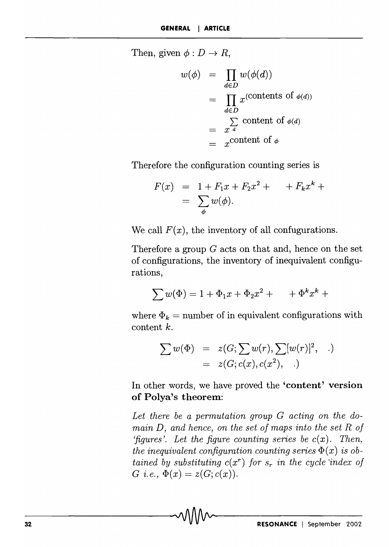Then, given  $\phi: D \to R$ ,

$$
w(\phi) = \prod_{d \in D} w(\phi(d))
$$
  
= 
$$
\prod_{d \in D} x^{(\text{contents of } \phi(d))}
$$
  
= 
$$
\sum_{d \in D} \text{content of } \phi(d)
$$
  
= 
$$
x^{\text{content of } \phi}
$$

Therefore the configuration counting series is

$$
F(x) = 1 + F_1 x + F_2 x^2 + F_k x^k +
$$
  
=  $\sum_{\phi} w(\phi).$ 

We call  $F(x)$ , the inventory of all confugurations.

Therefore a group  $G$  acts on that and, hence on the set of configurations, the inventory of inequivalent configurations,

$$
\sum w(\Phi) = 1 + \Phi_1 x + \Phi_2 x^2 + \cdots + \Phi^k x^k +
$$

where  $\Phi_k$  = number of in equivalent configurations with content *k.* 

$$
\sum w(\Phi) = z(G; \sum w(r), \sum [w(r)]^2, )
$$
  
=  $z(G; c(x), c(x^2), )$ 

In other words, we have proved the **'content'** version of Polya's theorem:

*Let there be a permutation group* G *acting on the domain D, and hence, on the set of maps into the set R of 'figures'.* Let the figure counting series be  $c(x)$ . Then, *the inequivalent configuration counting series*  $\Phi(x)$  *is obtained by substituting*  $c(x^r)$  *for*  $s_r$  *in the cycle index of*  $G$  *i.e.*,  $\Phi(x) = z(G; c(x)).$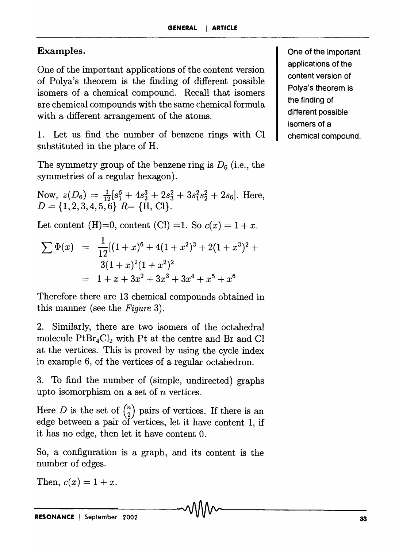## Examples.

One of the important applications of the content version of Polya's theorem is the finding of different possible isomers of a chemical compound. Recall that isomers are chemical compounds with the same chemical formula with a different arrangement of the atoms.

1. Let us find the number of benzene rings with CI substituted in the place of H.

The symmetry group of the benzene ring is *D6* (i.e., the symmetries of a regular hexagon).

Now,  $z(D_6) = \frac{1}{12}[s_1^6 + 4s_2^3 + 2s_3^2 + 3s_1^2s_2^2 + 2s_6]$ . Here,  $D = \{1, 2, 3, 4, 5, 6\}$  *R*=  $\{H, Cl\}.$ 

Let content (H)=0, content (Cl) =1. So  $c(x) = 1 + x$ .

$$
\sum \Phi(x) = \frac{1}{12}[(1+x)^6 + 4(1+x^2)^3 + 2(1+x^3)^2 + 3(1+x)^2(1+x^2)^2
$$
  
= 1 + x + 3x<sup>2</sup> + 3x<sup>3</sup> + 3x<sup>4</sup> + x<sup>5</sup> + x<sup>6</sup>

Therefore there are 13 chemical compounds obtained in this manner (see the *Figure 3).* 

2. Similarly, there are two isomers of the octahedral molecule  $PtBr_4Cl_2$  with Pt at the centre and Br and Cl at the vertices. This is proved by using the cycle index in example 6, of the vertices of a regular octahedron.

3. To find the number of (simple, undirected) graphs upto isomorphism on a set of *n* vertices.

Here D is the set of  $\binom{n}{2}$  pairs of vertices. If there is an edge between a pair of vertices, let it have content 1, if it has no edge, then let it have content O.

So, a configuration is a graph, and its content is the number of edges.

Then,  $c(x) = 1 + x$ .

One of the important applications of the content version of Polya's theorem is the finding of different possible isomers of a chemical compound.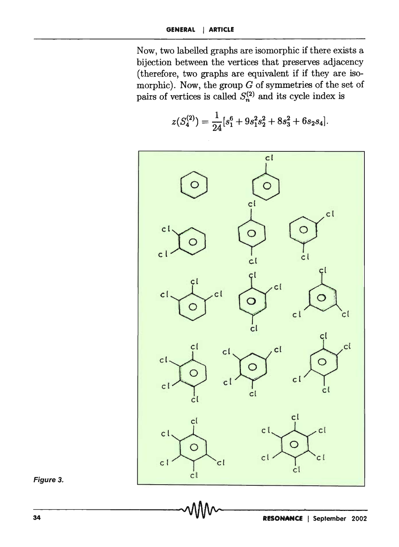Now, two labelled graphs are isomorphic if there exists a bijection between the vertices that preserves adjacency (therefore, two graphs are equivalent if if they are isomorphic). Now, the group  $G$  of symmetries of the set of pairs of vertices is called  $S_n^{(2)}$  and its cycle index is

$$
z(S_4^{(2)}) = \frac{1}{24} [s_1^6 + 9s_1^2s_2^2 + 8s_3^2 + 6s_2s_4]
$$